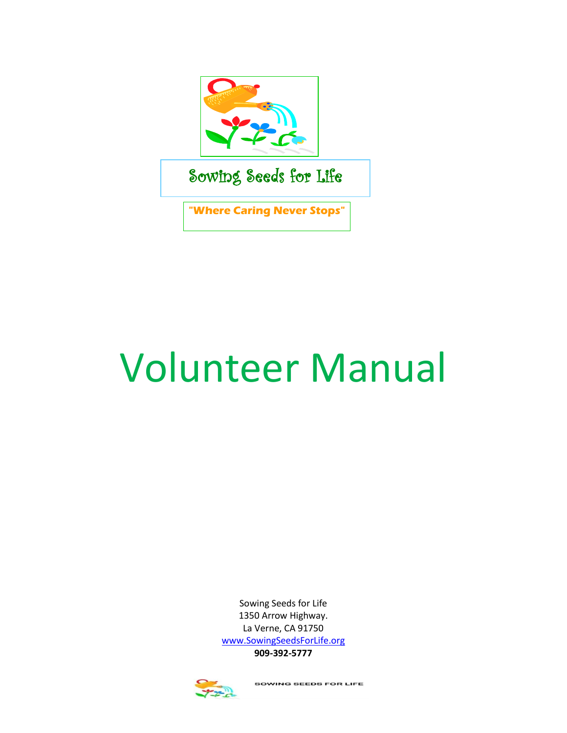

# Volunteer Manual

Sowing Seeds for Life 1350 Arrow Highway. La Verne, CA 91750 [www.SowingSeedsForLife.org](http://www.sowingseedsforlife.org/) **909-392-5777**



**SOWING SEEDS FOR LIFE**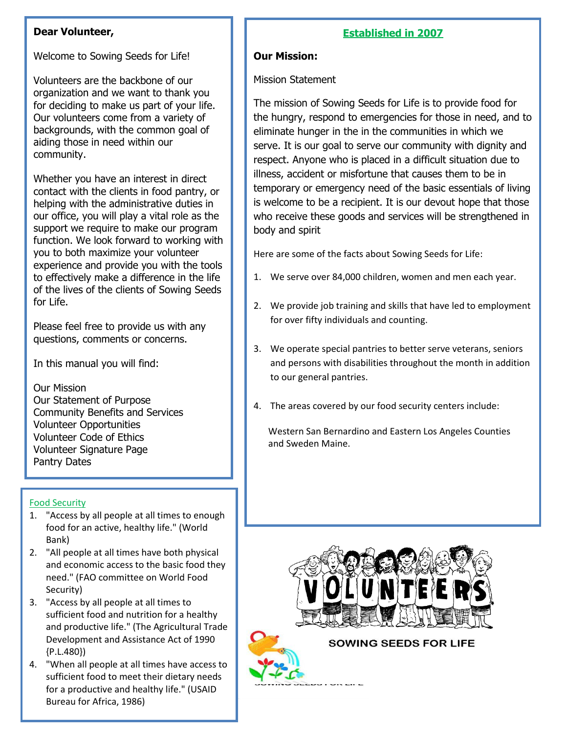## **Dear Volunteer,**

Welcome to Sowing Seeds for Life!

Volunteers are the backbone of our organization and we want to thank you for deciding to make us part of your life. Our volunteers come from a variety of backgrounds, with the common goal of aiding those in need within our community.

Whether you have an interest in direct contact with the clients in food pantry, or helping with the administrative duties in our office, you will play a vital role as the support we require to make our program function. We look forward to working with you to both maximize your volunteer experience and provide you with the tools to effectively make a difference in the life of the lives of the clients of Sowing Seeds for Life.

Please feel free to provide us with any questions, comments or concerns.

In this manual you will find:

Our Mission

Our Statement of Purpose Community Benefits and Services Volunteer Opportunities Volunteer Code of Ethics Volunteer Signature Page Pantry Dates

# Food Security

- $Ranh$  for which  $\frac{1}{2}$  for  $\frac{1}{2}$  for  $\frac{1}{2}$  for  $\frac{1}{2}$ 1. "Access by all people at all times to enough food for an active, healthy life." (World Bank)
- and economic access to the basic food they 2. "All people at all times have both physical need." (FAO committee on World Food Security)
- 3. "Access by all people at all times to sufficient food and nutrition for a healthy and productive life." (The Agricultural Trade Development and Assistance Act of 1990 {P.L.480})
- 4. "When all people at all times have access to sufficient food to meet their dietary needs for a productive and healthy life." (USAID Bureau for Africa, 1986)

# **Established in 2007**

# **Our Mission:**

### Mission Statement

The mission of Sowing Seeds for Life is to provide food for the hungry, respond to emergencies for those in need, and to eliminate hunger in the in the communities in which we serve. It is our goal to serve our community with dignity and respect. Anyone who is placed in a difficult situation due to illness, accident or misfortune that causes them to be in temporary or emergency need of the basic essentials of living is welcome to be a recipient. It is our devout hope that those who receive these goods and services will be strengthened in body and spirit

Here are some of the facts about Sowing Seeds for Life:

- 1. We serve over 84,000 children, women and men each year.
- 2. We provide job training and skills that have led to employment for over fifty individuals and counting.
- 3. We operate special pantries to better serve veterans, seniors and persons with disabilities throughout the month in addition to our general pantries.
- 4. The areas covered by our food security centers include:

Western San Bernardino and Eastern Los Angeles Counties and Sweden Maine.



**SOWING SEEDS FOR LIFE** 

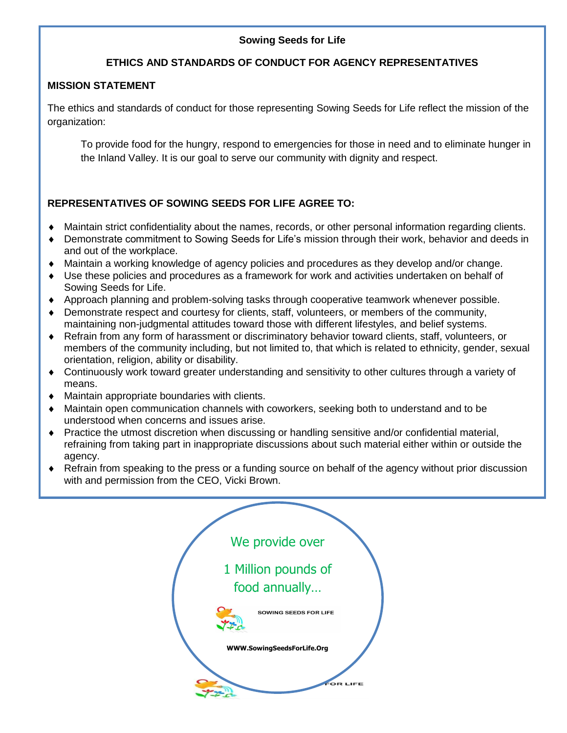# **Sowing Seeds for Life**

# **ETHICS AND STANDARDS OF CONDUCT FOR AGENCY REPRESENTATIVES**

# **MISSION STATEMENT**

The ethics and standards of conduct for those representing Sowing Seeds for Life reflect the mission of the organization:

To provide food for the hungry, respond to emergencies for those in need and to eliminate hunger in the Inland Valley. It is our goal to serve our community with dignity and respect.

# **REPRESENTATIVES OF SOWING SEEDS FOR LIFE AGREE TO:**

- Maintain strict confidentiality about the names, records, or other personal information regarding clients.
- Demonstrate commitment to Sowing Seeds for Life's mission through their work, behavior and deeds in and out of the workplace.
- Maintain a working knowledge of agency policies and procedures as they develop and/or change.
- Use these policies and procedures as a framework for work and activities undertaken on behalf of Sowing Seeds for Life.
- Approach planning and problem-solving tasks through cooperative teamwork whenever possible.
- Demonstrate respect and courtesy for clients, staff, volunteers, or members of the community, maintaining non-judgmental attitudes toward those with different lifestyles, and belief systems.
- Refrain from any form of harassment or discriminatory behavior toward clients, staff, volunteers, or members of the community including, but not limited to, that which is related to ethnicity, gender, sexual orientation, religion, ability or disability.
- Continuously work toward greater understanding and sensitivity to other cultures through a variety of means.
- Maintain appropriate boundaries with clients.
- Maintain open communication channels with coworkers, seeking both to understand and to be understood when concerns and issues arise.
- Practice the utmost discretion when discussing or handling sensitive and/or confidential material, refraining from taking part in inappropriate discussions about such material either within or outside the agency.
- Refrain from speaking to the press or a funding source on behalf of the agency without prior discussion with and permission from the CEO, Vicki Brown.

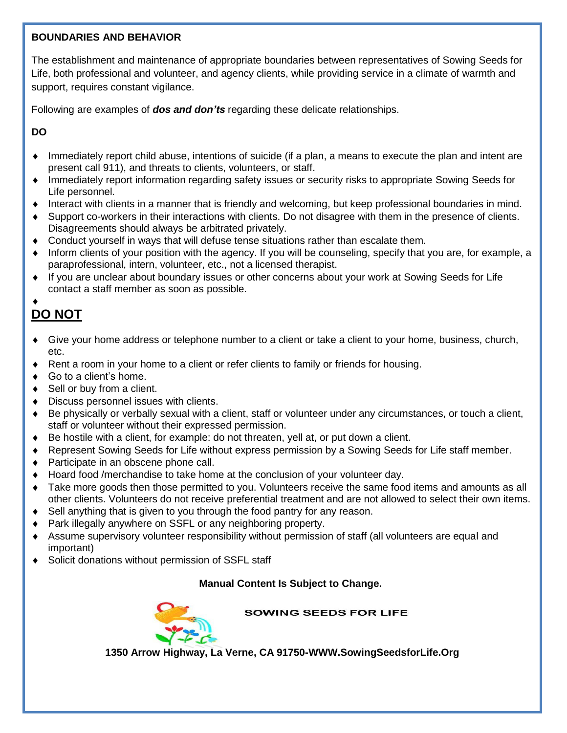### **BOUNDARIES AND BEHAVIOR**

The establishment and maintenance of appropriate boundaries between representatives of Sowing Seeds for Life, both professional and volunteer, and agency clients, while providing service in a climate of warmth and support, requires constant vigilance.

Following are examples of *dos and don'ts* regarding these delicate relationships.

**DO**

- Immediately report child abuse, intentions of suicide (if a plan, a means to execute the plan and intent are present call 911), and threats to clients, volunteers, or staff.
- Immediately report information regarding safety issues or security risks to appropriate Sowing Seeds for Life personnel.
- Interact with clients in a manner that is friendly and welcoming, but keep professional boundaries in mind.
- Support co-workers in their interactions with clients. Do not disagree with them in the presence of clients. Disagreements should always be arbitrated privately.
- Conduct yourself in ways that will defuse tense situations rather than escalate them.
- Inform clients of your position with the agency. If you will be counseling, specify that you are, for example, a paraprofessional, intern, volunteer, etc., not a licensed therapist.
- If you are unclear about boundary issues or other concerns about your work at Sowing Seeds for Life contact a staff member as soon as possible.

# $\blacklozenge$ **DO NOT**

- Give your home address or telephone number to a client or take a client to your home, business, church, etc.
- Rent a room in your home to a client or refer clients to family or friends for housing.
- ◆ Go to a client's home.
- ◆ Sell or buy from a client.
- Discuss personnel issues with clients.
- Be physically or verbally sexual with a client, staff or volunteer under any circumstances, or touch a client, staff or volunteer without their expressed permission.
- Be hostile with a client, for example: do not threaten, yell at, or put down a client.
- Represent Sowing Seeds for Life without express permission by a Sowing Seeds for Life staff member.
- ◆ Participate in an obscene phone call.
- Hoard food /merchandise to take home at the conclusion of your volunteer day.
- Take more goods then those permitted to you. Volunteers receive the same food items and amounts as all other clients. Volunteers do not receive preferential treatment and are not allowed to select their own items.
- ◆ Sell anything that is given to you through the food pantry for any reason.
- ◆ Park illegally anywhere on SSFL or any neighboring property.
- Assume supervisory volunteer responsibility without permission of staff (all volunteers are equal and important)
- ◆ Solicit donations without permission of SSFL staff

# **Manual Content Is Subject to Change.**



**SOWING SEEDS FOR LIFE** 

**1350 Arrow Highway, La Verne, CA 91750-WWW.SowingSeedsforLife.Org**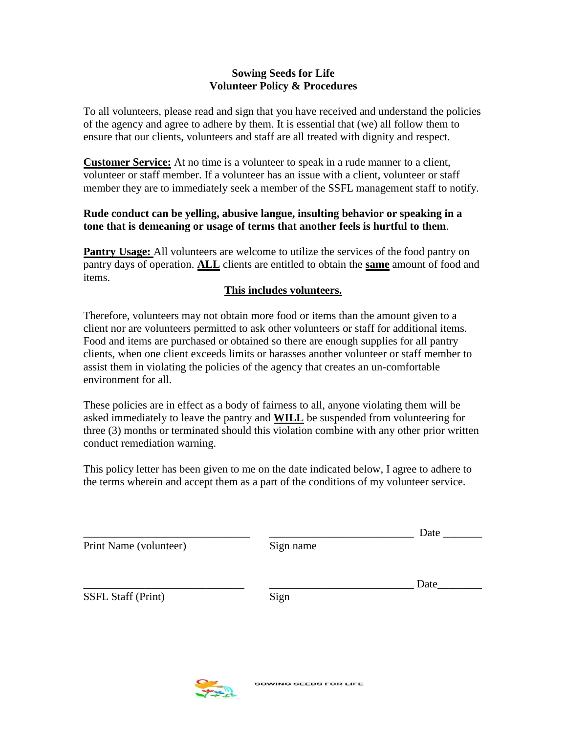### **Sowing Seeds for Life Volunteer Policy & Procedures**

To all volunteers, please read and sign that you have received and understand the policies of the agency and agree to adhere by them. It is essential that (we) all follow them to ensure that our clients, volunteers and staff are all treated with dignity and respect.

**Customer Service:** At no time is a volunteer to speak in a rude manner to a client, volunteer or staff member. If a volunteer has an issue with a client, volunteer or staff member they are to immediately seek a member of the SSFL management staff to notify.

# **Rude conduct can be yelling, abusive langue, insulting behavior or speaking in a tone that is demeaning or usage of terms that another feels is hurtful to them**.

**Pantry Usage:** All volunteers are welcome to utilize the services of the food pantry on pantry days of operation. **ALL** clients are entitled to obtain the **same** amount of food and items.

### **This includes volunteers.**

Therefore, volunteers may not obtain more food or items than the amount given to a client nor are volunteers permitted to ask other volunteers or staff for additional items. Food and items are purchased or obtained so there are enough supplies for all pantry clients, when one client exceeds limits or harasses another volunteer or staff member to assist them in violating the policies of the agency that creates an un-comfortable environment for all.

These policies are in effect as a body of fairness to all, anyone violating them will be asked immediately to leave the pantry and **WILL** be suspended from volunteering for three (3) months or terminated should this violation combine with any other prior written conduct remediation warning.

This policy letter has been given to me on the date indicated below, I agree to adhere to the terms wherein and accept them as a part of the conditions of my volunteer service.

|                        |           | Date |
|------------------------|-----------|------|
| Print Name (volunteer) | Sign name |      |
|                        |           | Date |
| SSFL Staff (Print)     | Sign      |      |
|                        |           |      |
|                        |           |      |

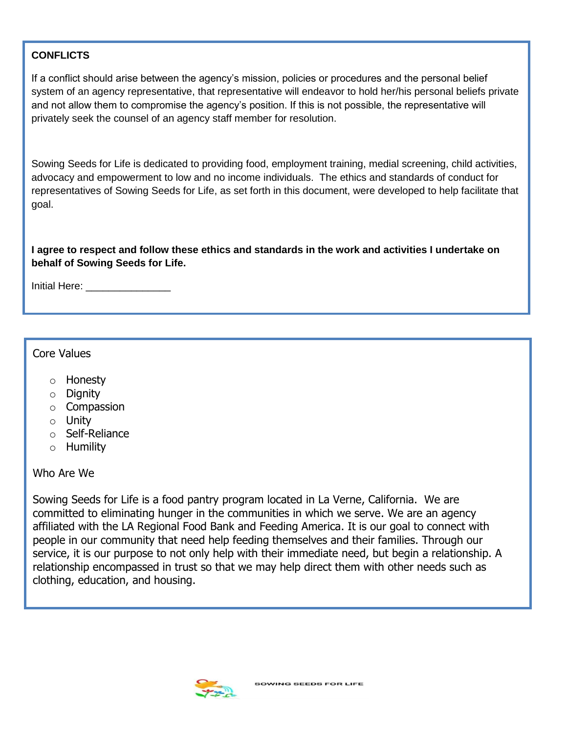# **CONFLICTS**

If a conflict should arise between the agency's mission, policies or procedures and the personal belief system of an agency representative, that representative will endeavor to hold her/his personal beliefs private and not allow them to compromise the agency's position. If this is not possible, the representative will privately seek the counsel of an agency staff member for resolution.

Sowing Seeds for Life is dedicated to providing food, employment training, medial screening, child activities, advocacy and empowerment to low and no income individuals. The ethics and standards of conduct for representatives of Sowing Seeds for Life, as set forth in this document, were developed to help facilitate that goal.

**I agree to respect and follow these ethics and standards in the work and activities I undertake on behalf of Sowing Seeds for Life.**

Initial Here: **We are all that the set of the set of the set of the set of the set of the set of the set of the set of the set of the set of the set of the set of the set of the set of the set of the set of the set of the** 

# Core Values

- o Honesty
- o Dignity
- o Compassion
- o Unity
- o Self-Reliance
- o Humility

# Who Are We

Sowing Seeds for Life is a food pantry program located in La Verne, California. We are committed to eliminating hunger in the communities in which we serve. We are an agency affiliated with the LA Regional Food Bank and Feeding America. It is our goal to connect with people in our community that need help feeding themselves and their families. Through our service, it is our purpose to not only help with their immediate need, but begin a relationship. A relationship encompassed in trust so that we may help direct them with other needs such as clothing, education, and housing.

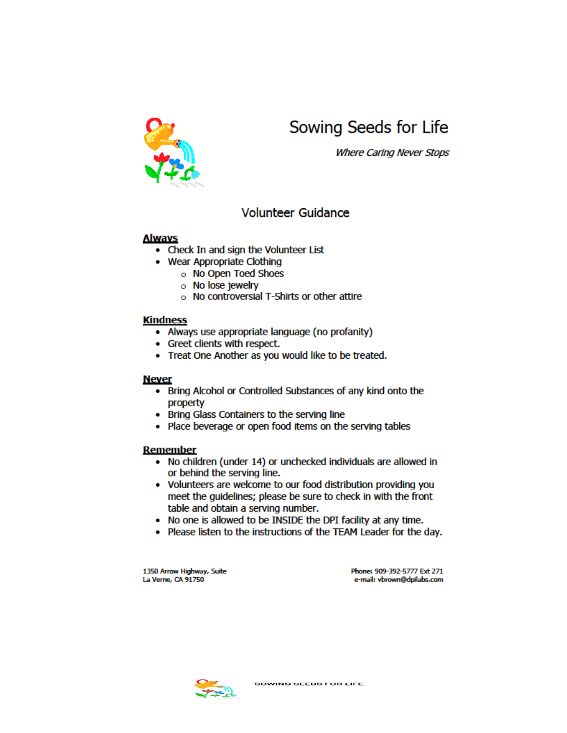

# Sowing Seeds for Life

**Where Caring Never Stops** 

# **Volunteer Guidance**

#### **Always**

- Check In and sign the Volunteer List
- Wear Appropriate Clothing
	- o No Open Toed Shoes
	- o No lose jewelry
	- No controversial T-Shirts or other attire

#### **Kindness**

- Always use appropriate language (no profanity)
- Greet clients with respect.
- Treat One Another as you would like to be treated.

#### **Never**

- Bring Alcohol or Controlled Substances of any kind onto the property
- Bring Glass Containers to the serving line
- Place beverage or open food items on the serving tables

#### Remember

- No children (under 14) or unchecked individuals are allowed in or behind the serving line.
- Volunteers are welcome to our food distribution providing you meet the guidelines; please be sure to check in with the front table and obtain a serving number.
- No one is allowed to be INSIDE the DPI facility at any time.
- Please listen to the instructions of the TEAM Leader for the day.

1350 Arrow Highway, Suite La Verne, CA 91750

Phone: 909-392-5777 Ext 271 e-mail: vbrown@dpilabs.com

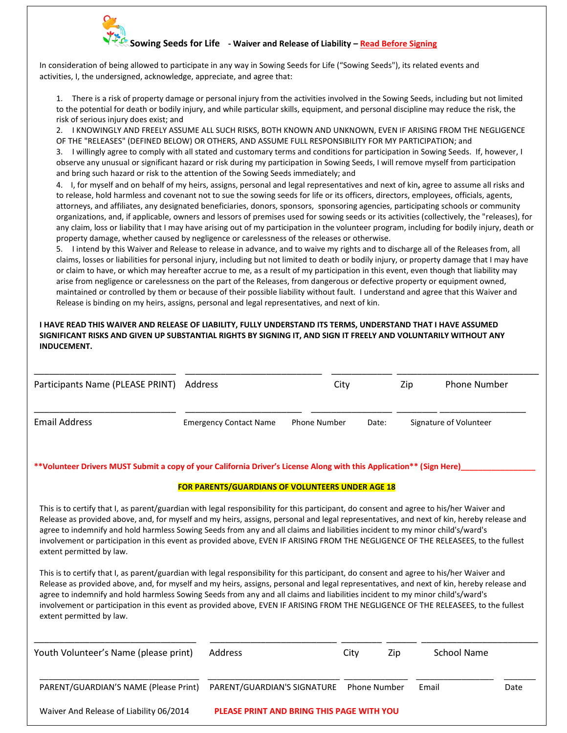

#### **Sowing Seeds for Life - Waiver and Release of Liability – Read Before Signing**

In consideration of being allowed to participate in any way in Sowing Seeds for Life ("Sowing Seeds"), its related events and activities, I, the undersigned, acknowledge, appreciate, and agree that:

1. There is a risk of property damage or personal injury from the activities involved in the Sowing Seeds, including but not limited to the potential for death or bodily injury, and while particular skills, equipment, and personal discipline may reduce the risk, the risk of serious injury does exist; and

2. I KNOWINGLY AND FREELY ASSUME ALL SUCH RISKS, BOTH KNOWN AND UNKNOWN, EVEN IF ARISING FROM THE NEGLIGENCE OF THE "RELEASES" (DEFINED BELOW) OR OTHERS, AND ASSUME FULL RESPONSIBILITY FOR MY PARTICIPATION; and

3. I willingly agree to comply with all stated and customary terms and conditions for participation in Sowing Seeds. If, however, I observe any unusual or significant hazard or risk during my participation in Sowing Seeds, I will remove myself from participation and bring such hazard or risk to the attention of the Sowing Seeds immediately; and

4. I, for myself and on behalf of my heirs, assigns, personal and legal representatives and next of kin**,** agree to assume all risks and to release, hold harmless and covenant not to sue the sowing seeds for life or its officers, directors, employees, officials, agents, attorneys, and affiliates, any designated beneficiaries, donors, sponsors, sponsoring agencies, participating schools or community organizations, and, if applicable, owners and lessors of premises used for sowing seeds or its activities (collectively, the "releases), for any claim, loss or liability that I may have arising out of my participation in the volunteer program, including for bodily injury, death or property damage, whether caused by negligence or carelessness of the releases or otherwise.

5. I intend by this Waiver and Release to release in advance, and to waive my rights and to discharge all of the Releases from, all claims, losses or liabilities for personal injury, including but not limited to death or bodily injury, or property damage that I may have or claim to have, or which may hereafter accrue to me, as a result of my participation in this event, even though that liability may arise from negligence or carelessness on the part of the Releases, from dangerous or defective property or equipment owned, maintained or controlled by them or because of their possible liability without fault. I understand and agree that this Waiver and Release is binding on my heirs, assigns, personal and legal representatives, and next of kin.

#### **I HAVE READ THIS WAIVER AND RELEASE OF LIABILITY, FULLY UNDERSTAND ITS TERMS, UNDERSTAND THAT I HAVE ASSUMED SIGNIFICANT RISKS AND GIVEN UP SUBSTANTIAL RIGHTS BY SIGNING IT, AND SIGN IT FREELY AND VOLUNTARILY WITHOUT ANY INDUCEMENT.**

| Participants Name (PLEASE PRINT)                                                                                                                                                                                                                                                                                                                                                                                                             | Address                                          | City                | Zip   | Phone Number           |
|----------------------------------------------------------------------------------------------------------------------------------------------------------------------------------------------------------------------------------------------------------------------------------------------------------------------------------------------------------------------------------------------------------------------------------------------|--------------------------------------------------|---------------------|-------|------------------------|
| <b>Email Address</b>                                                                                                                                                                                                                                                                                                                                                                                                                         | <b>Emergency Contact Name</b>                    | <b>Phone Number</b> | Date: | Signature of Volunteer |
| **Volunteer Drivers MUST Submit a copy of your California Driver's License Along with this Application** (Sign Here)                                                                                                                                                                                                                                                                                                                         |                                                  |                     |       |                        |
|                                                                                                                                                                                                                                                                                                                                                                                                                                              | FOR PARENTS/GUARDIANS OF VOLUNTEERS UNDER AGE 18 |                     |       |                        |
| This is to certify that I, as parent/guardian with legal responsibility for this participant, do consent and agree to his/her Waiver and                                                                                                                                                                                                                                                                                                     |                                                  |                     |       |                        |
| Release as provided above, and, for myself and my heirs, assigns, personal and legal representatives, and next of kin, hereby release and<br>agree to indemnify and hold harmless Sowing Seeds from any and all claims and liabilities incident to my minor child's/ward's<br>involvement or participation in this event as provided above, EVEN IF ARISING FROM THE NEGLIGENCE OF THE RELEASEES, to the fullest<br>extent permitted by law. |                                                  |                     |       |                        |

| Youth Volunteer's Name (please print)   | <b>Address</b>                                   | City                | Zip | School Name |      |
|-----------------------------------------|--------------------------------------------------|---------------------|-----|-------------|------|
| PARENT/GUARDIAN'S NAME (Please Print)   | PARENT/GUARDIAN'S SIGNATURE                      | <b>Phone Number</b> |     | Email       | Date |
| Waiver And Release of Liability 06/2014 | <b>PLEASE PRINT AND BRING THIS PAGE WITH YOU</b> |                     |     |             |      |